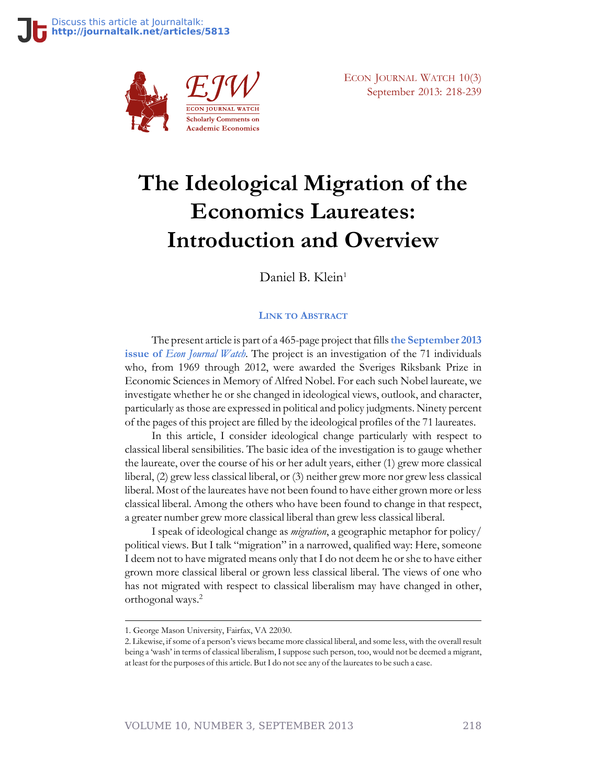

ECON JOURNAL WATCH 10(3) September 2013: 218-239

# **The Ideological Migration of the Economics Laureates: Introduction and Overview**

Daniel B. Klein<sup>1</sup>

#### **LINK TO A[BSTRACT](http://econjwatch.org/896)**

The present article is part of a 465-page project that fills**[the September 2013](http://econjwatch.org/issues/volume-10-issue-3-september-2013) issue of** *[Econ Journal Watch](http://econjwatch.org/issues/volume-10-issue-3-september-2013)*. The project is an investigation of the 71 individuals who, from 1969 through 2012, were awarded the Sveriges Riksbank Prize in Economic Sciences in Memory of Alfred Nobel. For each such Nobel laureate, we investigate whether he or she changed in ideological views, outlook, and character, particularly as those are expressed in political and policy judgments. Ninety percent of the pages of this project are filled by the ideological profiles of the 71 laureates.

In this article, I consider ideological change particularly with respect to classical liberal sensibilities. The basic idea of the investigation is to gauge whether the laureate, over the course of his or her adult years, either (1) grew more classical liberal, (2) grew less classical liberal, or (3) neither grew more nor grew less classical liberal. Most of the laureates have not been found to have either grown more or less classical liberal. Among the others who have been found to change in that respect, a greater number grew more classical liberal than grew less classical liberal.

I speak of ideological change as *migration*, a geographic metaphor for policy/ political views. But I talk "migration" in a narrowed, qualified way: Here, someone I deem not to have migrated means only that I do not deem he or she to have either grown more classical liberal or grown less classical liberal. The views of one who has not migrated with respect to classical liberalism may have changed in other, orthogonal ways.<sup>2</sup>

<sup>1.</sup> George Mason University, Fairfax, VA 22030.

<sup>2.</sup> Likewise, if some of a person's views became more classical liberal, and some less, with the overall result being a 'wash' in terms of classical liberalism, I suppose such person, too, would not be deemed a migrant, at least for the purposes of this article. But I do not see any of the laureates to be such a case.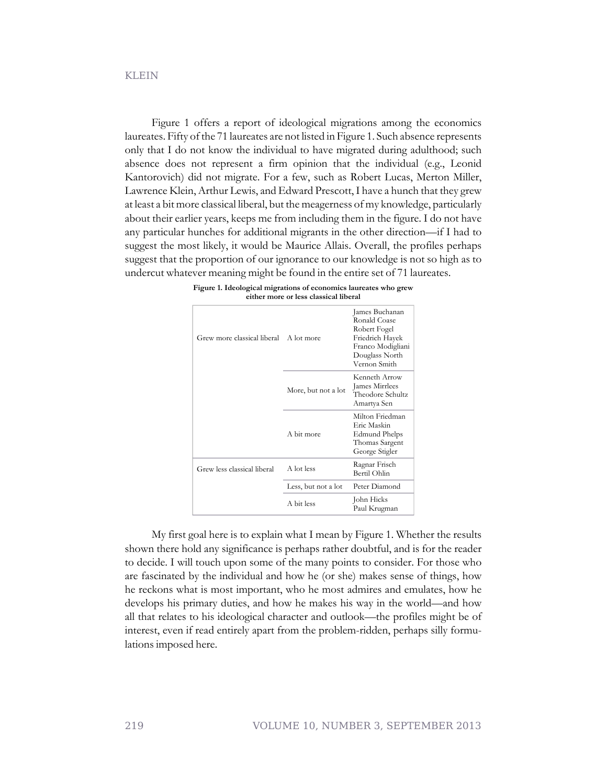#### KLEIN

Figure 1 offers a report of ideological migrations among the economics laureates. Fifty of the 71 laureates are not listed in Figure 1. Such absence represents only that I do not know the individual to have migrated during adulthood; such absence does not represent a firm opinion that the individual (e.g., Leonid Kantorovich) did not migrate. For a few, such as Robert Lucas, Merton Miller, Lawrence Klein, Arthur Lewis, and Edward Prescott, I have a hunch that they grew at least a bit more classical liberal, but the meagerness of my knowledge, particularly about their earlier years, keeps me from including them in the figure. I do not have any particular hunches for additional migrants in the other direction—if I had to suggest the most likely, it would be Maurice Allais. Overall, the profiles perhaps suggest that the proportion of our ignorance to our knowledge is not so high as to undercut whatever meaning might be found in the entire set of 71 laureates.

| Grew more classical liberal | A lot more          | James Buchanan<br>Ronald Coase<br>Robert Fogel<br>Friedrich Hayek<br>Franco Modigliani<br>Douglass North<br>Vernon Smith |  |
|-----------------------------|---------------------|--------------------------------------------------------------------------------------------------------------------------|--|
|                             | More, but not a lot | Kenneth Arrow<br>James Mirrlees<br>Theodore Schultz<br>Amartya Sen                                                       |  |
|                             | A bit more          | Milton Friedman<br>Eric Maskin<br>Edmund Phelps<br>Thomas Sargent<br>George Stigler                                      |  |
| Grew less classical liberal | A lot less          | Ragnar Frisch<br>Bertil Ohlin                                                                                            |  |
|                             | Less, but not a lot | Peter Diamond                                                                                                            |  |
|                             | A bit less          | John Hicks<br>Paul Krugman                                                                                               |  |

| Figure 1. Ideological migrations of economics laureates who grew |  |
|------------------------------------------------------------------|--|
| either more or less classical liberal                            |  |

My first goal here is to explain what I mean by Figure 1. Whether the results shown there hold any significance is perhaps rather doubtful, and is for the reader to decide. I will touch upon some of the many points to consider. For those who are fascinated by the individual and how he (or she) makes sense of things, how he reckons what is most important, who he most admires and emulates, how he develops his primary duties, and how he makes his way in the world—and how all that relates to his ideological character and outlook—the profiles might be of interest, even if read entirely apart from the problem-ridden, perhaps silly formulations imposed here.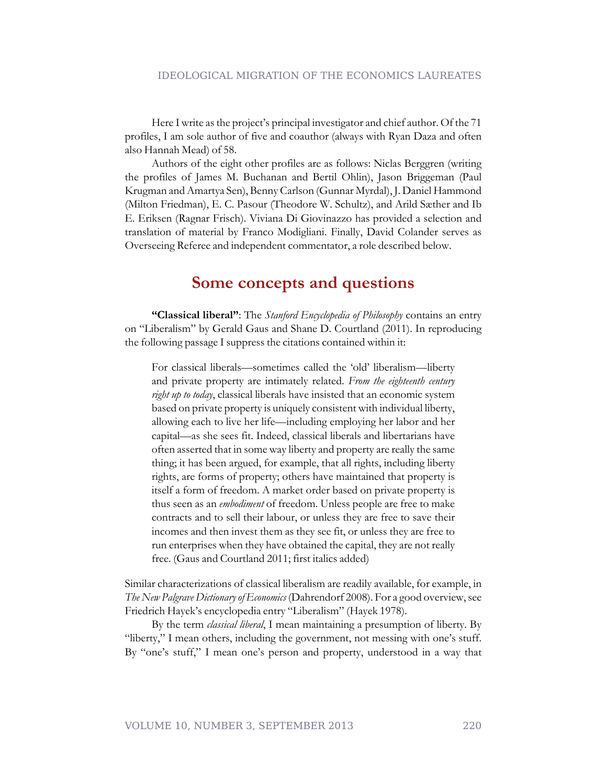Here I write as the project's principal investigator and chief author. Of the 71 profiles, I am sole author of five and coauthor (always with Ryan Daza and often also Hannah Mead) of 58.

Authors of the eight other profiles are as follows: Niclas Berggren (writing the profiles of James M. Buchanan and Bertil Ohlin), Jason Briggeman (Paul Krugman and Amartya Sen), Benny Carlson (Gunnar Myrdal), J. Daniel Hammond (Milton Friedman), E. C. Pasour (Theodore W. Schultz), and Arild Sæther and Ib E. Eriksen (Ragnar Frisch). Viviana Di Giovinazzo has provided a selection and translation of material by Franco Modigliani. Finally, David Colander serves as Overseeing Referee and independent commentator, a role described below.

#### **Some concepts and questions**

**"Classical liberal"**: The *Stanford Encyclopedia of Philosophy* contains an entry on "Liberalism" by Gerald Gaus and Shane D. Courtland (2011). In reproducing the following passage I suppress the citations contained within it:

For classical liberals—sometimes called the 'old' liberalism—liberty and private property are intimately related. *From the eighteenth century right up to today*, classical liberals have insisted that an economic system based on private property is uniquely consistent with individual liberty, allowing each to live her life—including employing her labor and her capital—as she sees fit. Indeed, classical liberals and libertarians have often asserted that in some way liberty and property are really the same thing; it has been argued, for example, that all rights, including liberty rights, are forms of property; others have maintained that property is itself a form of freedom. A market order based on private property is thus seen as an *embodiment* of freedom. Unless people are free to make contracts and to sell their labour, or unless they are free to save their incomes and then invest them as they see fit, or unless they are free to run enterprises when they have obtained the capital, they are not really free. (Gaus and Courtland 2011; first italics added)

Similar characterizations of classical liberalism are readily available, for example, in *The New Palgrave Dictionary of Economics* (Dahrendorf 2008). For a good overview, see Friedrich Hayek's encyclopedia entry "Liberalism" (Hayek 1978).

By the term *classical liberal*, I mean maintaining a presumption of liberty. By "liberty," I mean others, including the government, not messing with one's stuff. By "one's stuff," I mean one's person and property, understood in a way that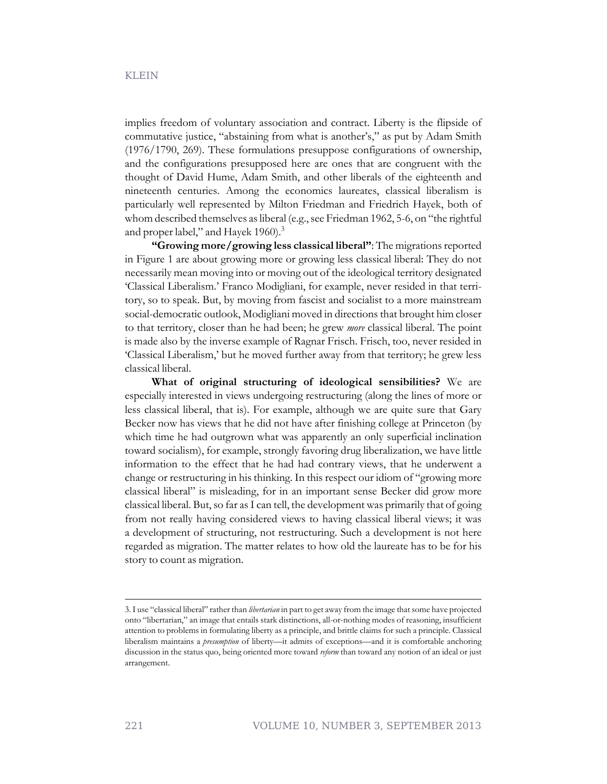implies freedom of voluntary association and contract. Liberty is the flipside of commutative justice, "abstaining from what is another's," as put by Adam Smith (1976/1790, 269). These formulations presuppose configurations of ownership, and the configurations presupposed here are ones that are congruent with the thought of David Hume, Adam Smith, and other liberals of the eighteenth and nineteenth centuries. Among the economics laureates, classical liberalism is particularly well represented by Milton Friedman and Friedrich Hayek, both of whom described themselves as liberal (e.g., see Friedman 1962, 5-6, on "the rightful and proper label," and Hayek 1960).<sup>3</sup>

**"Growing more/growing less classical liberal"**: The migrations reported in Figure 1 are about growing more or growing less classical liberal: They do not necessarily mean moving into or moving out of the ideological territory designated 'Classical Liberalism.' Franco Modigliani, for example, never resided in that territory, so to speak. But, by moving from fascist and socialist to a more mainstream social-democratic outlook, Modigliani moved in directions that brought him closer to that territory, closer than he had been; he grew *more* classical liberal. The point is made also by the inverse example of Ragnar Frisch. Frisch, too, never resided in 'Classical Liberalism,' but he moved further away from that territory; he grew less classical liberal.

**What of original structuring of ideological sensibilities?** We are especially interested in views undergoing restructuring (along the lines of more or less classical liberal, that is). For example, although we are quite sure that Gary Becker now has views that he did not have after finishing college at Princeton (by which time he had outgrown what was apparently an only superficial inclination toward socialism), for example, strongly favoring drug liberalization, we have little information to the effect that he had had contrary views, that he underwent a change or restructuring in his thinking. In this respect our idiom of "growing more classical liberal" is misleading, for in an important sense Becker did grow more classical liberal. But, so far as I can tell, the development was primarily that of going from not really having considered views to having classical liberal views; it was a development of structuring, not restructuring. Such a development is not here regarded as migration. The matter relates to how old the laureate has to be for his story to count as migration.

<sup>3.</sup> I use "classical liberal" rather than *libertarian* in part to get away from the image that some have projected onto "libertarian," an image that entails stark distinctions, all-or-nothing modes of reasoning, insufficient attention to problems in formulating liberty as a principle, and brittle claims for such a principle. Classical liberalism maintains a *presumption* of liberty—it admits of exceptions—and it is comfortable anchoring discussion in the status quo, being oriented more toward *reform* than toward any notion of an ideal or just arrangement.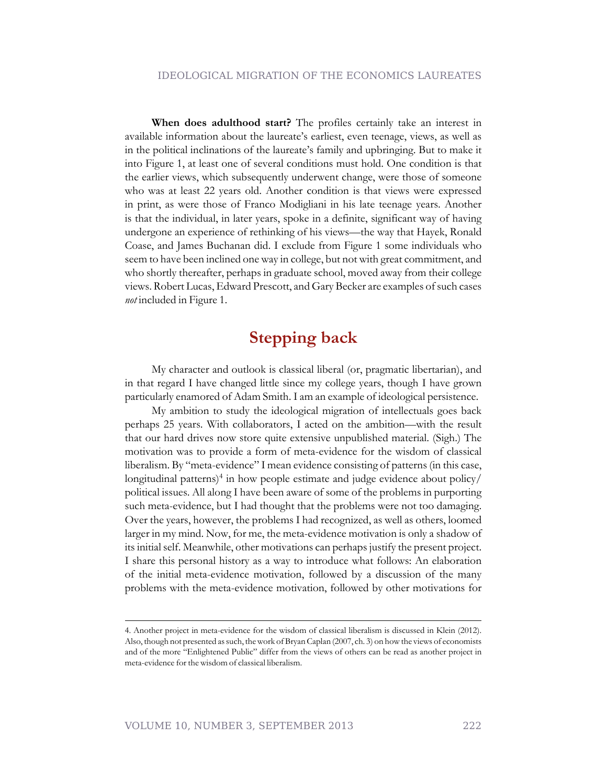**When does adulthood start?** The profiles certainly take an interest in available information about the laureate's earliest, even teenage, views, as well as in the political inclinations of the laureate's family and upbringing. But to make it into Figure 1, at least one of several conditions must hold. One condition is that the earlier views, which subsequently underwent change, were those of someone who was at least 22 years old. Another condition is that views were expressed in print, as were those of Franco Modigliani in his late teenage years. Another is that the individual, in later years, spoke in a definite, significant way of having undergone an experience of rethinking of his views—the way that Hayek, Ronald Coase, and James Buchanan did. I exclude from Figure 1 some individuals who seem to have been inclined one way in college, but not with great commitment, and who shortly thereafter, perhaps in graduate school, moved away from their college views. Robert Lucas, Edward Prescott, and Gary Becker are examples of such cases *not* included in Figure 1.

### **Stepping back**

My character and outlook is classical liberal (or, pragmatic libertarian), and in that regard I have changed little since my college years, though I have grown particularly enamored of Adam Smith. I am an example of ideological persistence.

My ambition to study the ideological migration of intellectuals goes back perhaps 25 years. With collaborators, I acted on the ambition—with the result that our hard drives now store quite extensive unpublished material. (Sigh.) The motivation was to provide a form of meta-evidence for the wisdom of classical liberalism. By "meta-evidence" I mean evidence consisting of patterns (in this case, longitudinal patterns)<sup>4</sup> in how people estimate and judge evidence about policy/ political issues. All along I have been aware of some of the problems in purporting such meta-evidence, but I had thought that the problems were not too damaging. Over the years, however, the problems I had recognized, as well as others, loomed larger in my mind. Now, for me, the meta-evidence motivation is only a shadow of its initial self. Meanwhile, other motivations can perhaps justify the present project. I share this personal history as a way to introduce what follows: An elaboration of the initial meta-evidence motivation, followed by a discussion of the many problems with the meta-evidence motivation, followed by other motivations for

<sup>4.</sup> Another project in meta-evidence for the wisdom of classical liberalism is discussed in Klein (2012). Also, though not presented as such, the work of Bryan Caplan (2007, ch. 3) on how the views of economists and of the more "Enlightened Public" differ from the views of others can be read as another project in meta-evidence for the wisdom of classical liberalism.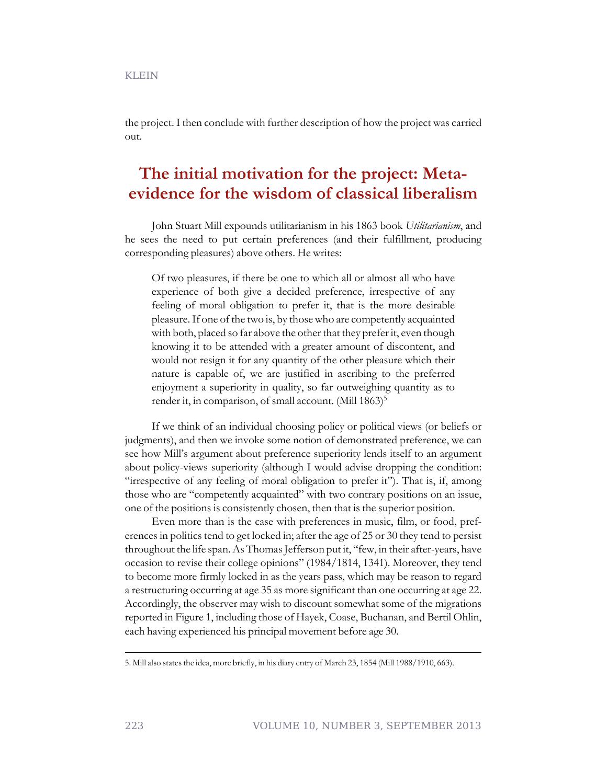the project. I then conclude with further description of how the project was carried out.

# **The initial motivation for the project: Metaevidence for the wisdom of classical liberalism**

John Stuart Mill expounds utilitarianism in his 1863 book *Utilitarianism*, and he sees the need to put certain preferences (and their fulfillment, producing corresponding pleasures) above others. He writes:

Of two pleasures, if there be one to which all or almost all who have experience of both give a decided preference, irrespective of any feeling of moral obligation to prefer it, that is the more desirable pleasure. If one of the two is, by those who are competently acquainted with both, placed so far above the other that they prefer it, even though knowing it to be attended with a greater amount of discontent, and would not resign it for any quantity of the other pleasure which their nature is capable of, we are justified in ascribing to the preferred enjoyment a superiority in quality, so far outweighing quantity as to render it, in comparison, of small account. (Mill  $1863$ )<sup>5</sup>

If we think of an individual choosing policy or political views (or beliefs or judgments), and then we invoke some notion of demonstrated preference, we can see how Mill's argument about preference superiority lends itself to an argument about policy-views superiority (although I would advise dropping the condition: "irrespective of any feeling of moral obligation to prefer it"). That is, if, among those who are "competently acquainted" with two contrary positions on an issue, one of the positions is consistently chosen, then that is the superior position.

Even more than is the case with preferences in music, film, or food, preferences in politics tend to get locked in; after the age of 25 or 30 they tend to persist throughout the life span. As Thomas Jefferson put it, "few, in their after-years, have occasion to revise their college opinions" (1984/1814, 1341). Moreover, they tend to become more firmly locked in as the years pass, which may be reason to regard a restructuring occurring at age 35 as more significant than one occurring at age 22. Accordingly, the observer may wish to discount somewhat some of the migrations reported in Figure 1, including those of Hayek, Coase, Buchanan, and Bertil Ohlin, each having experienced his principal movement before age 30.

<sup>5.</sup> Mill also states the idea, more briefly, in his diary entry of March 23, 1854 (Mill 1988/1910, 663).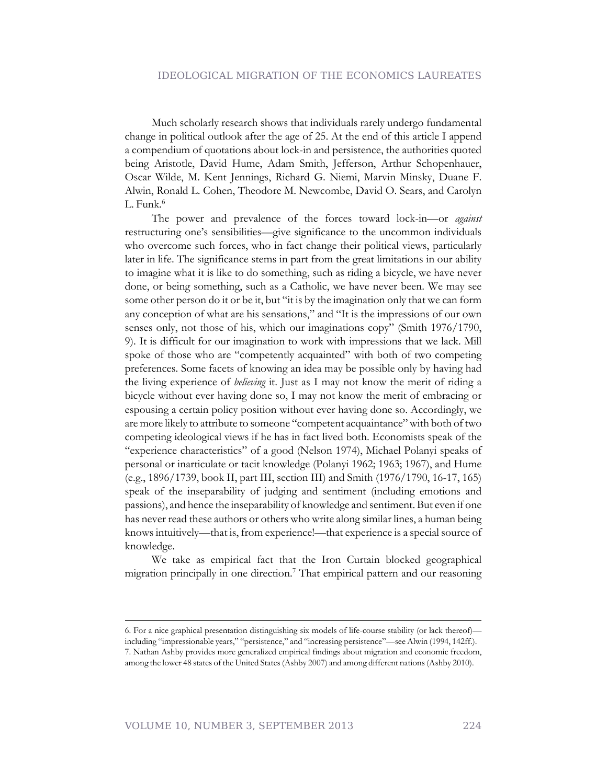Much scholarly research shows that individuals rarely undergo fundamental change in political outlook after the age of 25. At the end of this article I append a compendium of quotations about lock-in and persistence, the authorities quoted being Aristotle, David Hume, Adam Smith, Jefferson, Arthur Schopenhauer, Oscar Wilde, M. Kent Jennings, Richard G. Niemi, Marvin Minsky, Duane F. Alwin, Ronald L. Cohen, Theodore M. Newcombe, David O. Sears, and Carolyn  $L.$  Funk. $<sup>6</sup>$ </sup>

The power and prevalence of the forces toward lock-in—or *against* restructuring one's sensibilities—give significance to the uncommon individuals who overcome such forces, who in fact change their political views, particularly later in life. The significance stems in part from the great limitations in our ability to imagine what it is like to do something, such as riding a bicycle, we have never done, or being something, such as a Catholic, we have never been. We may see some other person do it or be it, but "it is by the imagination only that we can form any conception of what are his sensations," and "It is the impressions of our own senses only, not those of his, which our imaginations copy" (Smith 1976/1790, 9). It is difficult for our imagination to work with impressions that we lack. Mill spoke of those who are "competently acquainted" with both of two competing preferences. Some facets of knowing an idea may be possible only by having had the living experience of *believing* it. Just as I may not know the merit of riding a bicycle without ever having done so, I may not know the merit of embracing or espousing a certain policy position without ever having done so. Accordingly, we are more likely to attribute to someone "competent acquaintance" with both of two competing ideological views if he has in fact lived both. Economists speak of the "experience characteristics" of a good (Nelson 1974), Michael Polanyi speaks of personal or inarticulate or tacit knowledge (Polanyi 1962; 1963; 1967), and Hume (e.g., 1896/1739, book II, part III, section III) and Smith (1976/1790, 16-17, 165) speak of the inseparability of judging and sentiment (including emotions and passions), and hence the inseparability of knowledge and sentiment. But even if one has never read these authors or others who write along similar lines, a human being knows intuitively—that is, from experience!—that experience is a special source of knowledge.

We take as empirical fact that the Iron Curtain blocked geographical migration principally in one direction.<sup>7</sup> That empirical pattern and our reasoning

<sup>6.</sup> For a nice graphical presentation distinguishing six models of life-course stability (or lack thereof) including "impressionable years," "persistence," and "increasing persistence"—see Alwin (1994, 142ff.). 7. Nathan Ashby provides more generalized empirical findings about migration and economic freedom, among the lower 48 states of the United States (Ashby 2007) and among different nations (Ashby 2010).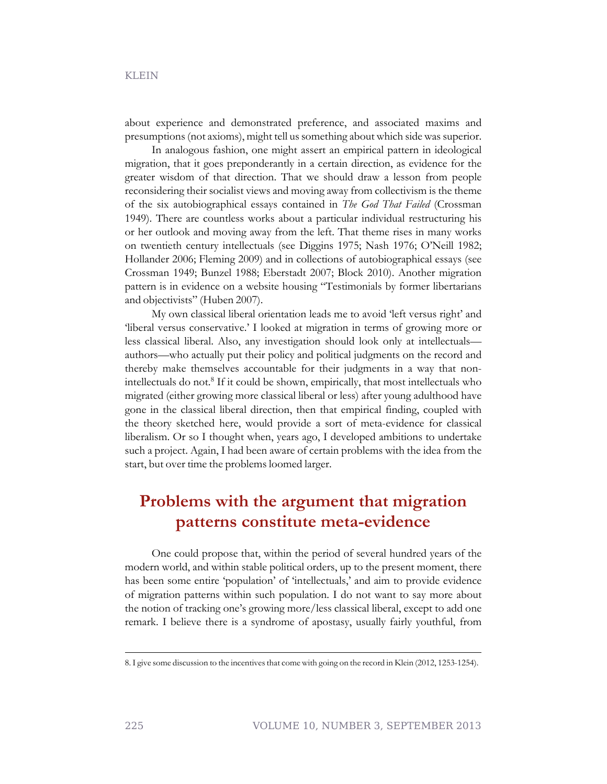about experience and demonstrated preference, and associated maxims and presumptions (not axioms), might tell us something about which side was superior.

In analogous fashion, one might assert an empirical pattern in ideological migration, that it goes preponderantly in a certain direction, as evidence for the greater wisdom of that direction. That we should draw a lesson from people reconsidering their socialist views and moving away from collectivism is the theme of the six autobiographical essays contained in *The God That Failed* (Crossman 1949). There are countless works about a particular individual restructuring his or her outlook and moving away from the left. That theme rises in many works on twentieth century intellectuals (see Diggins 1975; Nash 1976; O'Neill 1982; Hollander 2006; Fleming 2009) and in collections of autobiographical essays (see Crossman 1949; Bunzel 1988; Eberstadt 2007; Block 2010). Another migration pattern is in evidence on a website housing "Testimonials by former libertarians and objectivists" (Huben 2007).

My own classical liberal orientation leads me to avoid 'left versus right' and 'liberal versus conservative.' I looked at migration in terms of growing more or less classical liberal. Also, any investigation should look only at intellectuals authors—who actually put their policy and political judgments on the record and thereby make themselves accountable for their judgments in a way that nonintellectuals do not.<sup>8</sup> If it could be shown, empirically, that most intellectuals who migrated (either growing more classical liberal or less) after young adulthood have gone in the classical liberal direction, then that empirical finding, coupled with the theory sketched here, would provide a sort of meta-evidence for classical liberalism. Or so I thought when, years ago, I developed ambitions to undertake such a project. Again, I had been aware of certain problems with the idea from the start, but over time the problems loomed larger.

# **Problems with the argument that migration patterns constitute meta-evidence**

One could propose that, within the period of several hundred years of the modern world, and within stable political orders, up to the present moment, there has been some entire 'population' of 'intellectuals,' and aim to provide evidence of migration patterns within such population. I do not want to say more about the notion of tracking one's growing more/less classical liberal, except to add one remark. I believe there is a syndrome of apostasy, usually fairly youthful, from

<sup>8.</sup> I give some discussion to the incentives that come with going on the record in Klein (2012, 1253-1254).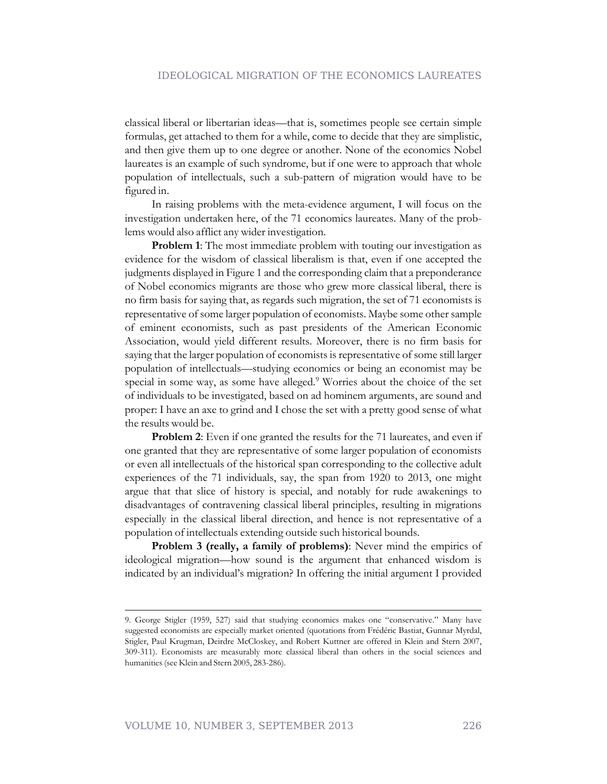classical liberal or libertarian ideas—that is, sometimes people see certain simple formulas, get attached to them for a while, come to decide that they are simplistic, and then give them up to one degree or another. None of the economics Nobel laureates is an example of such syndrome, but if one were to approach that whole population of intellectuals, such a sub-pattern of migration would have to be figured in.

In raising problems with the meta-evidence argument, I will focus on the investigation undertaken here, of the 71 economics laureates. Many of the problems would also afflict any wider investigation.

**Problem 1**: The most immediate problem with touting our investigation as evidence for the wisdom of classical liberalism is that, even if one accepted the judgments displayed in Figure 1 and the corresponding claim that a preponderance of Nobel economics migrants are those who grew more classical liberal, there is no firm basis for saying that, as regards such migration, the set of 71 economists is representative of some larger population of economists. Maybe some other sample of eminent economists, such as past presidents of the American Economic Association, would yield different results. Moreover, there is no firm basis for saying that the larger population of economists is representative of some still larger population of intellectuals—studying economics or being an economist may be special in some way, as some have alleged.<sup>9</sup> Worries about the choice of the set of individuals to be investigated, based on ad hominem arguments, are sound and proper: I have an axe to grind and I chose the set with a pretty good sense of what the results would be.

**Problem 2**: Even if one granted the results for the 71 laureates, and even if one granted that they are representative of some larger population of economists or even all intellectuals of the historical span corresponding to the collective adult experiences of the 71 individuals, say, the span from 1920 to 2013, one might argue that that slice of history is special, and notably for rude awakenings to disadvantages of contravening classical liberal principles, resulting in migrations especially in the classical liberal direction, and hence is not representative of a population of intellectuals extending outside such historical bounds.

**Problem 3 (really, a family of problems)**: Never mind the empirics of ideological migration—how sound is the argument that enhanced wisdom is indicated by an individual's migration? In offering the initial argument I provided

<sup>9.</sup> George Stigler (1959, 527) said that studying economics makes one "conservative." Many have suggested economists are especially market oriented (quotations from Frédéric Bastiat, Gunnar Myrdal, Stigler, Paul Krugman, Deirdre McCloskey, and Robert Kuttner are offered in Klein and Stern 2007, 309-311). Economists are measurably more classical liberal than others in the social sciences and humanities (see Klein and Stern 2005, 283-286).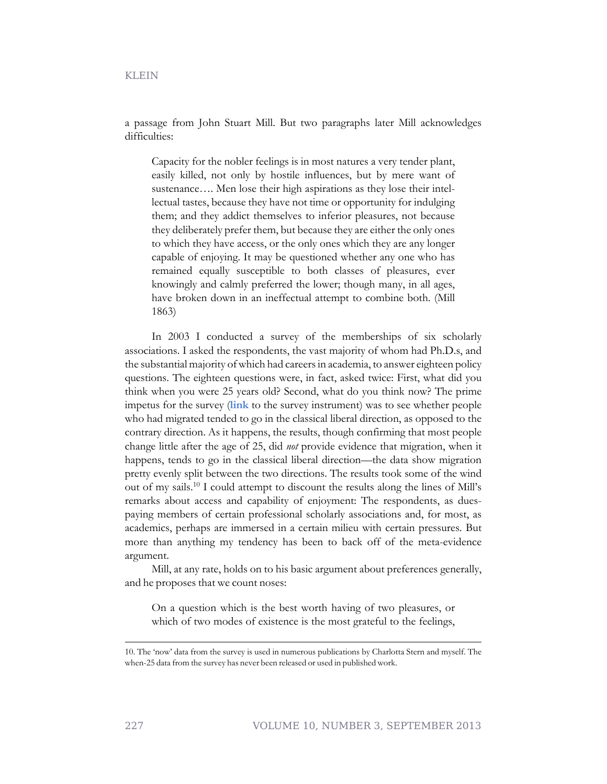a passage from John Stuart Mill. But two paragraphs later Mill acknowledges difficulties:

Capacity for the nobler feelings is in most natures a very tender plant, easily killed, not only by hostile influences, but by mere want of sustenance.... Men lose their high aspirations as they lose their intellectual tastes, because they have not time or opportunity for indulging them; and they addict themselves to inferior pleasures, not because they deliberately prefer them, but because they are either the only ones to which they have access, or the only ones which they are any longer capable of enjoying. It may be questioned whether any one who has remained equally susceptible to both classes of pleasures, ever knowingly and calmly preferred the lower; though many, in all ages, have broken down in an ineffectual attempt to combine both. (Mill 1863)

In 2003 I conducted a survey of the memberships of six scholarly associations. I asked the respondents, the vast majority of whom had Ph.D.s, and the substantial majority of which had careers in academia, to answer eighteen policy questions. The eighteen questions were, in fact, asked twice: First, what did you think when you were 25 years old? Second, what do you think now? The prime impetus for the survey (**[link](http://econfaculty.gmu.edu/klein/survey/survey-Anth.pdf)** to the survey instrument) was to see whether people who had migrated tended to go in the classical liberal direction, as opposed to the contrary direction. As it happens, the results, though confirming that most people change little after the age of 25, did *not* provide evidence that migration, when it happens, tends to go in the classical liberal direction—the data show migration pretty evenly split between the two directions. The results took some of the wind out of my sails.<sup>10</sup> I could attempt to discount the results along the lines of Mill's remarks about access and capability of enjoyment: The respondents, as duespaying members of certain professional scholarly associations and, for most, as academics, perhaps are immersed in a certain milieu with certain pressures. But more than anything my tendency has been to back off of the meta-evidence argument.

Mill, at any rate, holds on to his basic argument about preferences generally, and he proposes that we count noses:

On a question which is the best worth having of two pleasures, or which of two modes of existence is the most grateful to the feelings,

<sup>10.</sup> The 'now' data from the survey is used in numerous publications by Charlotta Stern and myself. The when-25 data from the survey has never been released or used in published work.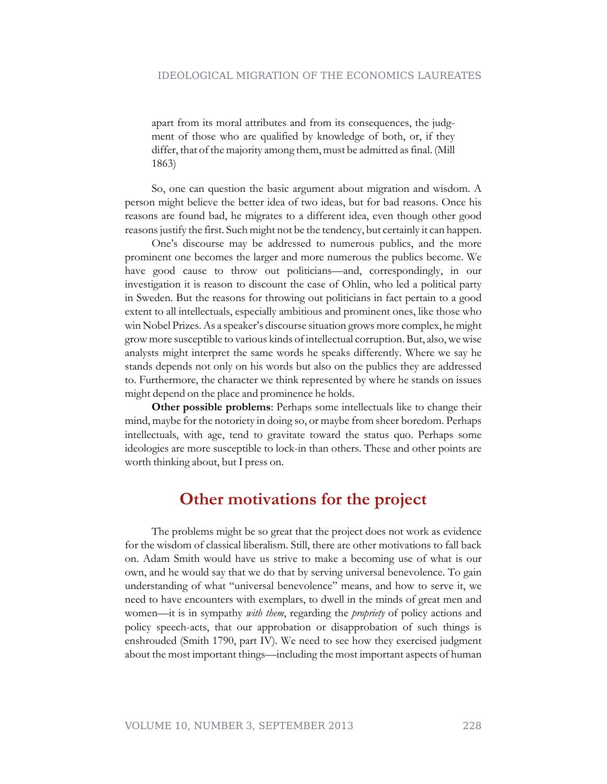apart from its moral attributes and from its consequences, the judgment of those who are qualified by knowledge of both, or, if they differ, that of the majority among them, must be admitted as final. (Mill 1863)

So, one can question the basic argument about migration and wisdom. A person might believe the better idea of two ideas, but for bad reasons. Once his reasons are found bad, he migrates to a different idea, even though other good reasons justify the first. Such might not be the tendency, but certainly it can happen.

One's discourse may be addressed to numerous publics, and the more prominent one becomes the larger and more numerous the publics become. We have good cause to throw out politicians—and, correspondingly, in our investigation it is reason to discount the case of Ohlin, who led a political party in Sweden. But the reasons for throwing out politicians in fact pertain to a good extent to all intellectuals, especially ambitious and prominent ones, like those who win Nobel Prizes. As a speaker's discourse situation grows more complex, he might grow more susceptible to various kinds of intellectual corruption. But, also, we wise analysts might interpret the same words he speaks differently. Where we say he stands depends not only on his words but also on the publics they are addressed to. Furthermore, the character we think represented by where he stands on issues might depend on the place and prominence he holds.

**Other possible problems**: Perhaps some intellectuals like to change their mind, maybe for the notoriety in doing so, or maybe from sheer boredom. Perhaps intellectuals, with age, tend to gravitate toward the status quo. Perhaps some ideologies are more susceptible to lock-in than others. These and other points are worth thinking about, but I press on.

# **Other motivations for the project**

The problems might be so great that the project does not work as evidence for the wisdom of classical liberalism. Still, there are other motivations to fall back on. Adam Smith would have us strive to make a becoming use of what is our own, and he would say that we do that by serving universal benevolence. To gain understanding of what "universal benevolence" means, and how to serve it, we need to have encounters with exemplars, to dwell in the minds of great men and women—it is in sympathy *with them*, regarding the *propriety* of policy actions and policy speech-acts, that our approbation or disapprobation of such things is enshrouded (Smith 1790, part IV). We need to see how they exercised judgment about the most important things—including the most important aspects of human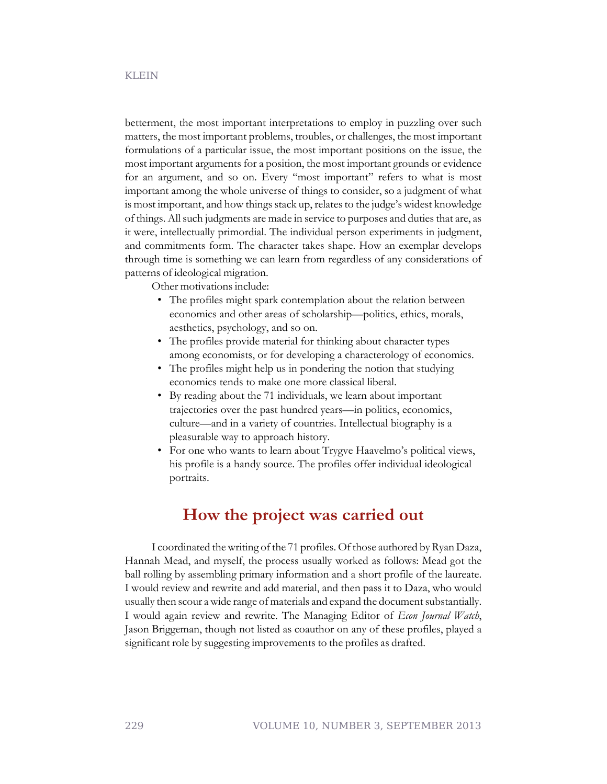betterment, the most important interpretations to employ in puzzling over such matters, the most important problems, troubles, or challenges, the most important formulations of a particular issue, the most important positions on the issue, the most important arguments for a position, the most important grounds or evidence for an argument, and so on. Every "most important" refers to what is most important among the whole universe of things to consider, so a judgment of what is most important, and how things stack up, relates to the judge's widest knowledge of things. All such judgments are made in service to purposes and duties that are, as it were, intellectually primordial. The individual person experiments in judgment, and commitments form. The character takes shape. How an exemplar develops through time is something we can learn from regardless of any considerations of patterns of ideological migration.

Other motivations include:

- The profiles might spark contemplation about the relation between economics and other areas of scholarship—politics, ethics, morals, aesthetics, psychology, and so on.
- The profiles provide material for thinking about character types among economists, or for developing a characterology of economics.
- The profiles might help us in pondering the notion that studying economics tends to make one more classical liberal.
- By reading about the 71 individuals, we learn about important trajectories over the past hundred years—in politics, economics, culture—and in a variety of countries. Intellectual biography is a pleasurable way to approach history.
- For one who wants to learn about Trygve Haavelmo's political views, his profile is a handy source. The profiles offer individual ideological portraits.

#### **How the project was carried out**

I coordinated the writing of the 71 profiles. Of those authored by Ryan Daza, Hannah Mead, and myself, the process usually worked as follows: Mead got the ball rolling by assembling primary information and a short profile of the laureate. I would review and rewrite and add material, and then pass it to Daza, who would usually then scour a wide range of materials and expand the document substantially. I would again review and rewrite. The Managing Editor of *Econ Journal Watch*, Jason Briggeman, though not listed as coauthor on any of these profiles, played a significant role by suggesting improvements to the profiles as drafted.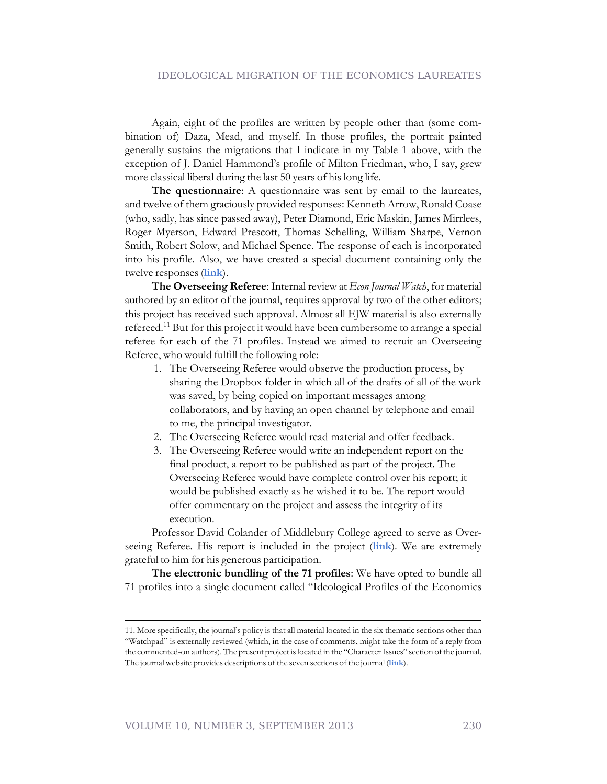Again, eight of the profiles are written by people other than (some combination of) Daza, Mead, and myself. In those profiles, the portrait painted generally sustains the migrations that I indicate in my Table 1 above, with the exception of J. Daniel Hammond's profile of Milton Friedman, who, I say, grew more classical liberal during the last 50 years of his long life.

**The questionnaire**: A questionnaire was sent by email to the laureates, and twelve of them graciously provided responses: Kenneth Arrow, Ronald Coase (who, sadly, has since passed away), Peter Diamond, Eric Maskin, James Mirrlees, Roger Myerson, Edward Prescott, Thomas Schelling, William Sharpe, Vernon Smith, Robert Solow, and Michael Spence. The response of each is incorporated into his profile. Also, we have created a special document containing only the twelve responses (**[link](http://econjwatch.org/897)**).

**The Overseeing Referee**: Internal review at *Econ Journal Watch*, for material authored by an editor of the journal, requires approval by two of the other editors; this project has received such approval. Almost all EJW material is also externally refereed.<sup>11</sup> But for this project it would have been cumbersome to arrange a special referee for each of the 71 profiles. Instead we aimed to recruit an Overseeing Referee, who would fulfill the following role:

- 1. The Overseeing Referee would observe the production process, by sharing the Dropbox folder in which all of the drafts of all of the work was saved, by being copied on important messages among collaborators, and by having an open channel by telephone and email to me, the principal investigator.
- 2. The Overseeing Referee would read material and offer feedback.
- 3. The Overseeing Referee would write an independent report on the final product, a report to be published as part of the project. The Overseeing Referee would have complete control over his report; it would be published exactly as he wished it to be. The report would offer commentary on the project and assess the integrity of its execution.

Professor David Colander of Middlebury College agreed to serve as Overseeing Referee. His report is included in the project (**[link](http://econjwatch.org/895)**). We are extremely grateful to him for his generous participation.

**The electronic bundling of the 71 profiles**: We have opted to bundle all 71 profiles into a single document called "Ideological Profiles of the Economics

<sup>11.</sup> More specifically, the journal's policy is that all material located in the six thematic sections other than "Watchpad" is externally reviewed (which, in the case of comments, might take the form of a reply from the commented-on authors). The present project is located in the "Character Issues" section of the journal. The journal website provides descriptions of the seven sections of the journal (**[link](http://econjwatch.org/about/ejw-section-descriptions)**).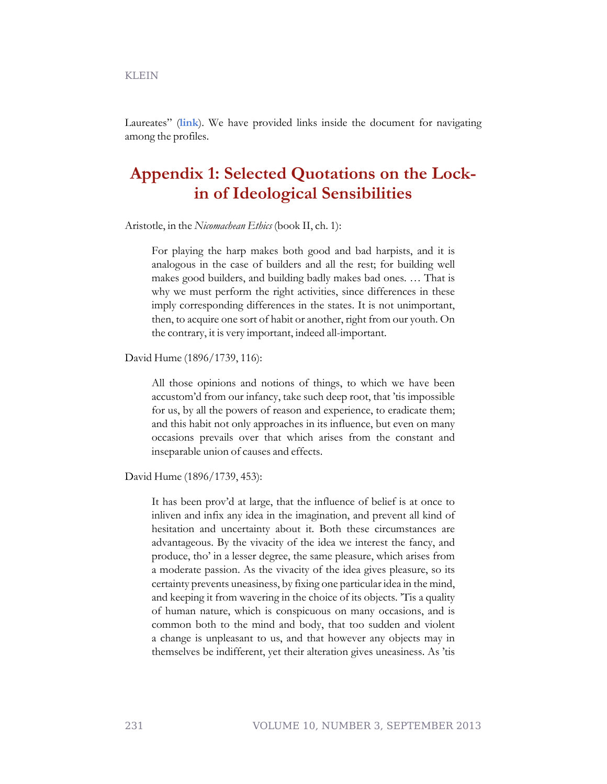Laureates" (**[link](http://econjwatch.org/893)**). We have provided links inside the document for navigating among the profiles.

# **Appendix 1: Selected Quotations on the Lockin of Ideological Sensibilities**

Aristotle, in the *Nicomachean Ethics* (book II, ch. 1):

For playing the harp makes both good and bad harpists, and it is analogous in the case of builders and all the rest; for building well makes good builders, and building badly makes bad ones. … That is why we must perform the right activities, since differences in these imply corresponding differences in the states. It is not unimportant, then, to acquire one sort of habit or another, right from our youth. On the contrary, it is very important, indeed all-important.

David Hume (1896/1739, 116):

All those opinions and notions of things, to which we have been accustom'd from our infancy, take such deep root, that 'tis impossible for us, by all the powers of reason and experience, to eradicate them; and this habit not only approaches in its influence, but even on many occasions prevails over that which arises from the constant and inseparable union of causes and effects.

David Hume (1896/1739, 453):

It has been prov'd at large, that the influence of belief is at once to inliven and infix any idea in the imagination, and prevent all kind of hesitation and uncertainty about it. Both these circumstances are advantageous. By the vivacity of the idea we interest the fancy, and produce, tho' in a lesser degree, the same pleasure, which arises from a moderate passion. As the vivacity of the idea gives pleasure, so its certainty prevents uneasiness, by fixing one particular idea in the mind, and keeping it from wavering in the choice of its objects. 'Tis a quality of human nature, which is conspicuous on many occasions, and is common both to the mind and body, that too sudden and violent a change is unpleasant to us, and that however any objects may in themselves be indifferent, yet their alteration gives uneasiness. As 'tis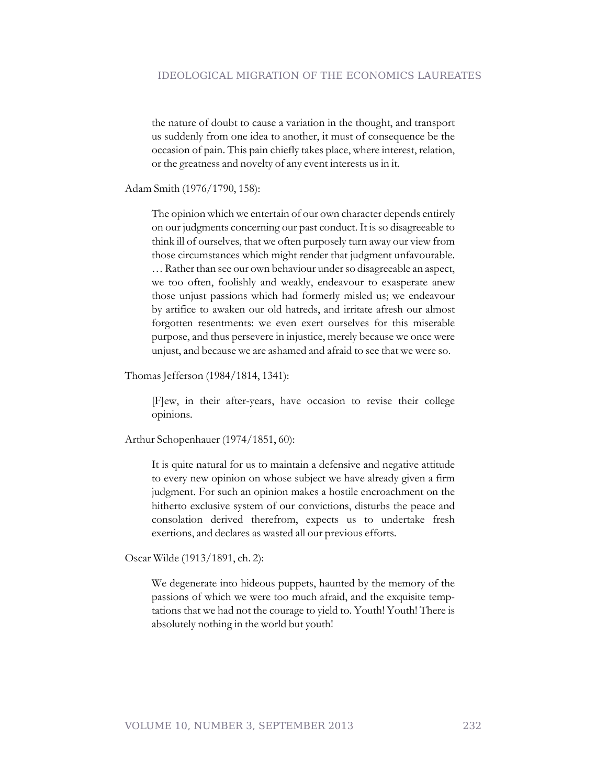the nature of doubt to cause a variation in the thought, and transport us suddenly from one idea to another, it must of consequence be the occasion of pain. This pain chiefly takes place, where interest, relation, or the greatness and novelty of any event interests us in it.

Adam Smith (1976/1790, 158):

The opinion which we entertain of our own character depends entirely on our judgments concerning our past conduct. It is so disagreeable to think ill of ourselves, that we often purposely turn away our view from those circumstances which might render that judgment unfavourable. … Rather than see our own behaviour under so disagreeable an aspect, we too often, foolishly and weakly, endeavour to exasperate anew those unjust passions which had formerly misled us; we endeavour by artifice to awaken our old hatreds, and irritate afresh our almost forgotten resentments: we even exert ourselves for this miserable purpose, and thus persevere in injustice, merely because we once were unjust, and because we are ashamed and afraid to see that we were so.

Thomas Jefferson (1984/1814, 1341):

[F]ew, in their after-years, have occasion to revise their college opinions.

Arthur Schopenhauer (1974/1851, 60):

It is quite natural for us to maintain a defensive and negative attitude to every new opinion on whose subject we have already given a firm judgment. For such an opinion makes a hostile encroachment on the hitherto exclusive system of our convictions, disturbs the peace and consolation derived therefrom, expects us to undertake fresh exertions, and declares as wasted all our previous efforts.

Oscar Wilde (1913/1891, ch. 2):

We degenerate into hideous puppets, haunted by the memory of the passions of which we were too much afraid, and the exquisite temptations that we had not the courage to yield to. Youth! Youth! There is absolutely nothing in the world but youth!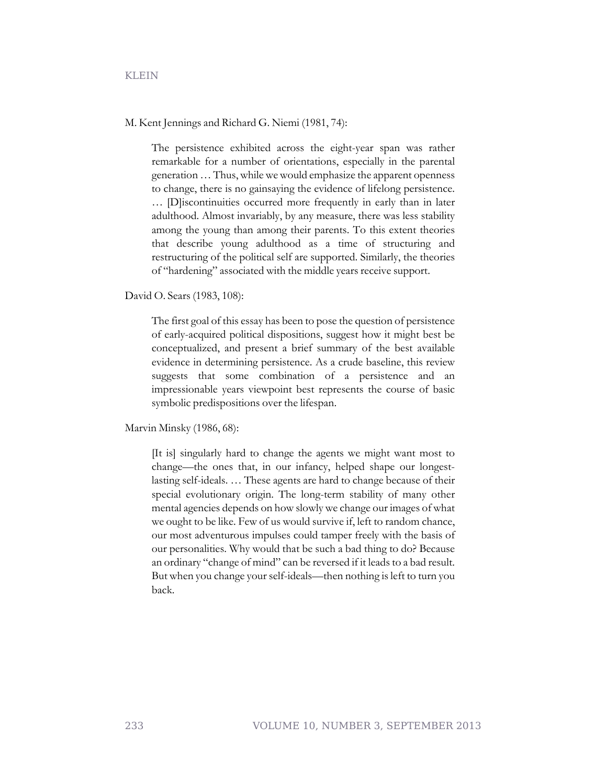KLEIN

M. Kent Jennings and Richard G. Niemi (1981, 74):

The persistence exhibited across the eight-year span was rather remarkable for a number of orientations, especially in the parental generation … Thus, while we would emphasize the apparent openness to change, there is no gainsaying the evidence of lifelong persistence. … [D]iscontinuities occurred more frequently in early than in later adulthood. Almost invariably, by any measure, there was less stability among the young than among their parents. To this extent theories that describe young adulthood as a time of structuring and restructuring of the political self are supported. Similarly, the theories of "hardening" associated with the middle years receive support.

David O. Sears (1983, 108):

The first goal of this essay has been to pose the question of persistence of early-acquired political dispositions, suggest how it might best be conceptualized, and present a brief summary of the best available evidence in determining persistence. As a crude baseline, this review suggests that some combination of a persistence and an impressionable years viewpoint best represents the course of basic symbolic predispositions over the lifespan.

Marvin Minsky (1986, 68):

[It is] singularly hard to change the agents we might want most to change—the ones that, in our infancy, helped shape our longestlasting self-ideals. … These agents are hard to change because of their special evolutionary origin. The long-term stability of many other mental agencies depends on how slowly we change our images of what we ought to be like. Few of us would survive if, left to random chance, our most adventurous impulses could tamper freely with the basis of our personalities. Why would that be such a bad thing to do? Because an ordinary "change of mind" can be reversed if it leads to a bad result. But when you change your self-ideals—then nothing is left to turn you back.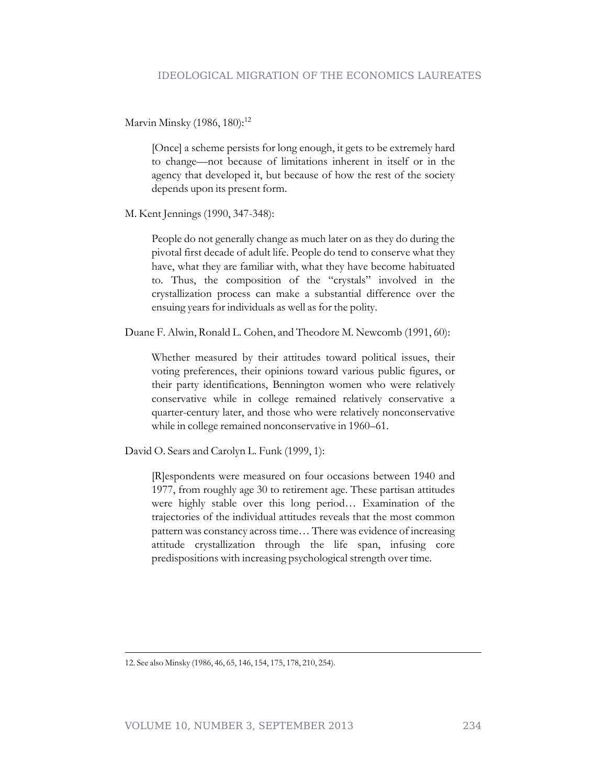Marvin Minsky (1986, 180):<sup>12</sup>

[Once] a scheme persists for long enough, it gets to be extremely hard to change—not because of limitations inherent in itself or in the agency that developed it, but because of how the rest of the society depends upon its present form.

M. Kent Jennings (1990, 347-348):

People do not generally change as much later on as they do during the pivotal first decade of adult life. People do tend to conserve what they have, what they are familiar with, what they have become habituated to. Thus, the composition of the "crystals" involved in the crystallization process can make a substantial difference over the ensuing years for individuals as well as for the polity.

Duane F. Alwin, Ronald L. Cohen, and Theodore M. Newcomb (1991, 60):

Whether measured by their attitudes toward political issues, their voting preferences, their opinions toward various public figures, or their party identifications, Bennington women who were relatively conservative while in college remained relatively conservative a quarter-century later, and those who were relatively nonconservative while in college remained nonconservative in 1960–61.

David O. Sears and Carolyn L. Funk (1999, 1):

[R]espondents were measured on four occasions between 1940 and 1977, from roughly age 30 to retirement age. These partisan attitudes were highly stable over this long period… Examination of the trajectories of the individual attitudes reveals that the most common pattern was constancy across time… There was evidence of increasing attitude crystallization through the life span, infusing core predispositions with increasing psychological strength over time.

<sup>12.</sup> See also Minsky (1986, 46, 65, 146, 154, 175, 178, 210, 254).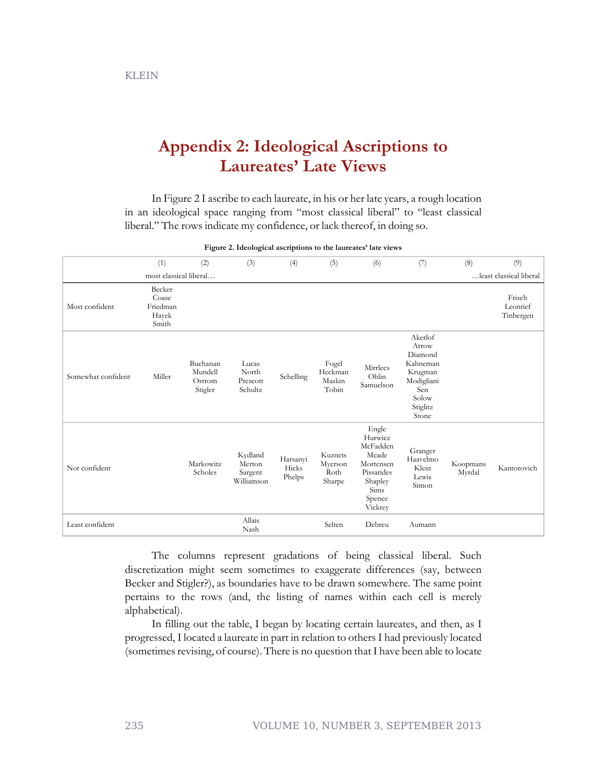KLEIN

# **Appendix 2: Ideological Ascriptions to Laureates' Late Views**

In Figure 2 I ascribe to each laureate, in his or her late years, a rough location in an ideological space ranging from "most classical liberal" to "least classical liberal." The rows indicate my confidence, or lack thereof, in doing so.

|                    | (1)                                           | (2)                                      | (3)                                        | (4)                         | (5)                                  | (6)                                                                                                      | (7)                                                                                                   | (8)                | (9)                             |
|--------------------|-----------------------------------------------|------------------------------------------|--------------------------------------------|-----------------------------|--------------------------------------|----------------------------------------------------------------------------------------------------------|-------------------------------------------------------------------------------------------------------|--------------------|---------------------------------|
|                    | most classical liberal                        |                                          |                                            |                             |                                      |                                                                                                          |                                                                                                       |                    | least classical liberal         |
| Most confident     | Becker<br>Coase<br>Friedman<br>Hayek<br>Smith |                                          |                                            |                             |                                      |                                                                                                          |                                                                                                       |                    | Frisch<br>Leontief<br>Tinbergen |
| Somewhat confident | Miller                                        | Buchanan<br>Mundell<br>Ostrom<br>Stigler | Lucas<br>North<br>Prescott<br>Schultz      | Schelling                   | Fogel<br>Heckman<br>Maskin<br>Tobin  | Mirrlees<br>Ohlin<br>Samuelson                                                                           | Akerlof<br>Arrow<br>Diamond<br>Kahneman<br>Krugman<br>Modigliani<br>Sen<br>Solow<br>Stiglitz<br>Stone |                    |                                 |
| Not confident      |                                               | Markowitz<br>Scholes                     | Kydland<br>Merton<br>Sargent<br>Williamson | Harsanyi<br>Hicks<br>Phelps | Kuznets<br>Myerson<br>Roth<br>Sharpe | Engle<br>Hurwicz<br>McFadden<br>Meade<br>Mortensen<br>Pissarides<br>Shapley<br>Sims<br>Spence<br>Vickrey | Granger<br>Haavelmo<br>Klein<br>Lewis<br>Simon                                                        | Koopmans<br>Myrdal | Kantorovich                     |
| Least confident    |                                               |                                          | Allais<br>Nash                             |                             | Selten                               | Debreu                                                                                                   | Aumann                                                                                                |                    |                                 |

**Figure 2. Ideological ascriptions to the laureates' late views**

The columns represent gradations of being classical liberal. Such discretization might seem sometimes to exaggerate differences (say, between Becker and Stigler?), as boundaries have to be drawn somewhere. The same point pertains to the rows (and, the listing of names within each cell is merely alphabetical).

In filling out the table, I began by locating certain laureates, and then, as I progressed, I located a laureate in part in relation to others I had previously located (sometimes revising, of course). There is no question that I have been able to locate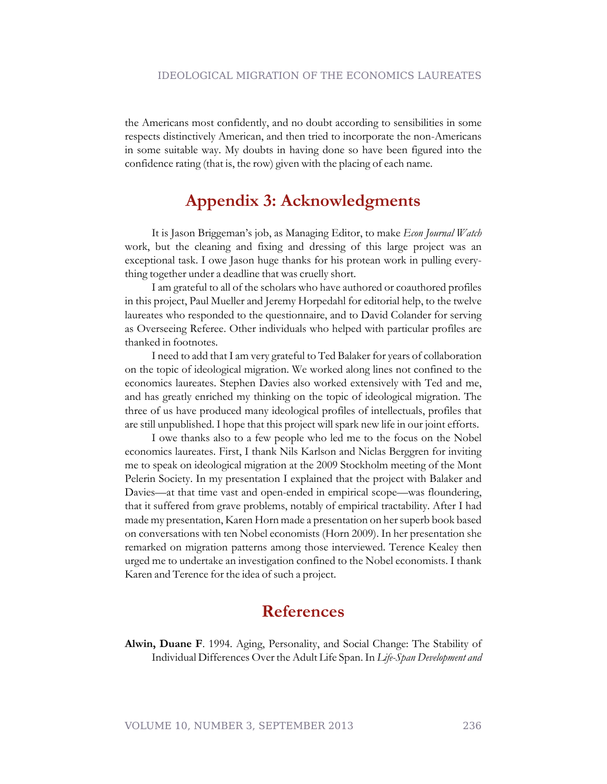the Americans most confidently, and no doubt according to sensibilities in some respects distinctively American, and then tried to incorporate the non-Americans in some suitable way. My doubts in having done so have been figured into the confidence rating (that is, the row) given with the placing of each name.

### **Appendix 3: Acknowledgments**

It is Jason Briggeman's job, as Managing Editor, to make *Econ Journal Watch* work, but the cleaning and fixing and dressing of this large project was an exceptional task. I owe Jason huge thanks for his protean work in pulling everything together under a deadline that was cruelly short.

I am grateful to all of the scholars who have authored or coauthored profiles in this project, Paul Mueller and Jeremy Horpedahl for editorial help, to the twelve laureates who responded to the questionnaire, and to David Colander for serving as Overseeing Referee. Other individuals who helped with particular profiles are thanked in footnotes.

I need to add that I am very grateful to Ted Balaker for years of collaboration on the topic of ideological migration. We worked along lines not confined to the economics laureates. Stephen Davies also worked extensively with Ted and me, and has greatly enriched my thinking on the topic of ideological migration. The three of us have produced many ideological profiles of intellectuals, profiles that are still unpublished. I hope that this project will spark new life in our joint efforts.

I owe thanks also to a few people who led me to the focus on the Nobel economics laureates. First, I thank Nils Karlson and Niclas Berggren for inviting me to speak on ideological migration at the 2009 Stockholm meeting of the Mont Pelerin Society. In my presentation I explained that the project with Balaker and Davies—at that time vast and open-ended in empirical scope—was floundering, that it suffered from grave problems, notably of empirical tractability. After I had made my presentation, Karen Horn made a presentation on her superb book based on conversations with ten Nobel economists (Horn 2009). In her presentation she remarked on migration patterns among those interviewed. Terence Kealey then urged me to undertake an investigation confined to the Nobel economists. I thank Karen and Terence for the idea of such a project.

### **References**

**Alwin, Duane F**. 1994. Aging, Personality, and Social Change: The Stability of Individual Differences Over the Adult Life Span. In *Life-Span Development and*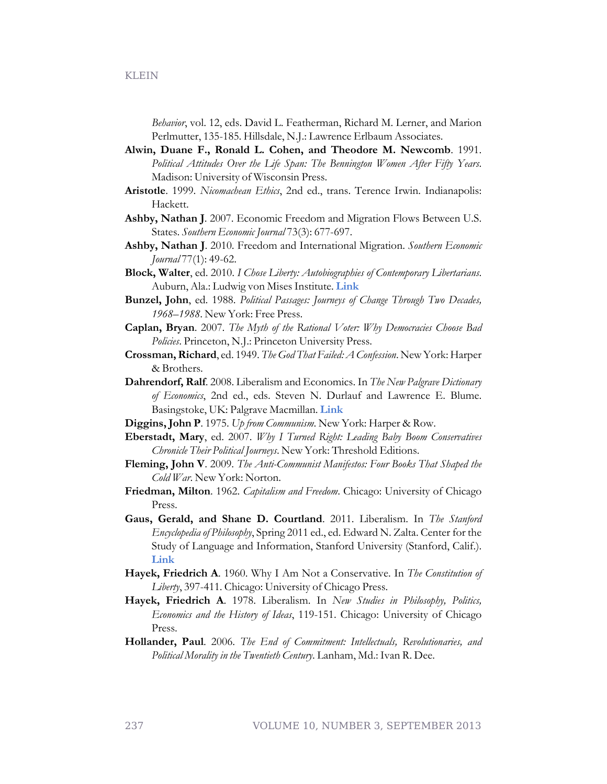*Behavior*, vol. 12, eds. David L. Featherman, Richard M. Lerner, and Marion Perlmutter, 135-185. Hillsdale, N.J.: Lawrence Erlbaum Associates.

- **Alwin, Duane F., Ronald L. Cohen, and Theodore M. Newcomb**. 1991. *Political Attitudes Over the Life Span: The Bennington Women After Fifty Years*. Madison: University of Wisconsin Press.
- **Aristotle**. 1999. *Nicomachean Ethics*, 2nd ed., trans. Terence Irwin. Indianapolis: Hackett.
- **Ashby, Nathan J**. 2007. Economic Freedom and Migration Flows Between U.S. States. *Southern Economic Journal* 73(3): 677-697.
- **Ashby, Nathan J**. 2010. Freedom and International Migration. *Southern Economic Journal* 77(1): 49-62.
- **Block, Walter**, ed. 2010. *I Chose Liberty: Autobiographies of Contemporary Libertarians*. Auburn, Ala.: Ludwig von Mises Institute. **[Link](http://mises.org/document/6073/)**
- **Bunzel, John**, ed. 1988. *Political Passages: Journeys of Change Through Two Decades, 1968–1988*. New York: Free Press.
- **Caplan, Bryan**. 2007. *The Myth of the Rational Voter: Why Democracies Choose Bad Policies*. Princeton, N.J.: Princeton University Press.
- **Crossman, Richard**, ed. 1949. *The God That Failed: A Confession*. New York: Harper & Brothers.
- **Dahrendorf, Ralf**. 2008. Liberalism and Economics. In *The New Palgrave Dictionary of Economics*, 2nd ed., eds. Steven N. Durlauf and Lawrence E. Blume. Basingstoke, UK: Palgrave Macmillan. **[Link](http://www.dictionaryofeconomics.com/article?id=pde2008_L000085)**
- **Diggins, John P**. 1975. *Up from Communism*. New York: Harper & Row.
- **Eberstadt, Mary**, ed. 2007. *Why I Turned Right: Leading Baby Boom Conservatives Chronicle Their Political Journeys*. New York: Threshold Editions.
- **Fleming, John V**. 2009. *The Anti-Communist Manifestos: Four Books That Shaped the Cold War*. New York: Norton.
- **Friedman, Milton**. 1962. *Capitalism and Freedom*. Chicago: University of Chicago Press.
- **Gaus, Gerald, and Shane D. Courtland**. 2011. Liberalism. In *The Stanford Encyclopedia of Philosophy*, Spring 2011 ed., ed. Edward N. Zalta. Center for the Study of Language and Information, Stanford University (Stanford, Calif.). **[Link](http://plato.stanford.edu/archives/spr2011/entries/liberalism/)**
- **Hayek, Friedrich A**. 1960. Why I Am Not a Conservative. In *The Constitution of Liberty*, 397-411. Chicago: University of Chicago Press.
- **Hayek, Friedrich A**. 1978. Liberalism. In *New Studies in Philosophy, Politics, Economics and the History of Ideas*, 119-151. Chicago: University of Chicago Press.
- **Hollander, Paul**. 2006. *The End of Commitment: Intellectuals, Revolutionaries, and Political Morality in the Twentieth Century*. Lanham, Md.: Ivan R. Dee.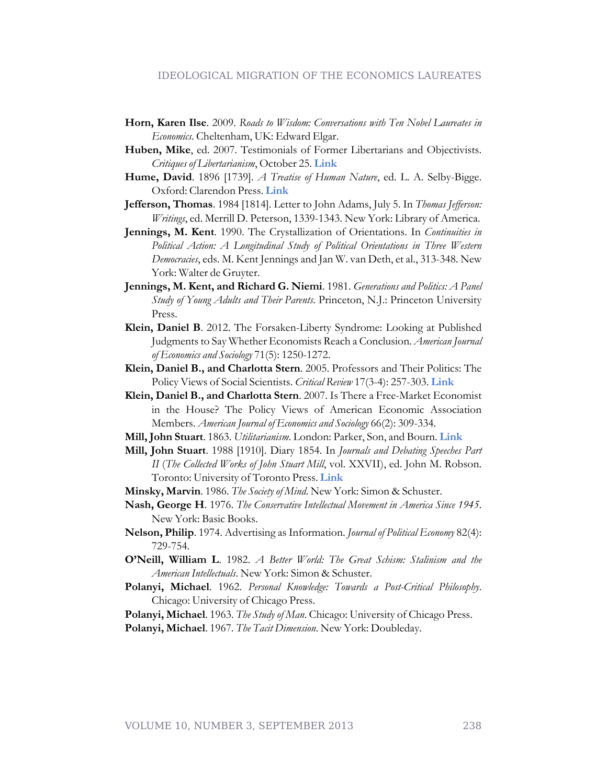#### IDEOLOGICAL MIGRATION OF THE ECONOMICS LAUREATES

- **Horn, Karen Ilse**. 2009. *Roads to Wisdom: Conversations with Ten Nobel Laureates in Economics*. Cheltenham, UK: Edward Elgar.
- **Huben, Mike**, ed. 2007. Testimonials of Former Libertarians and Objectivists. *Critiques of Libertarianism*, October 25. **[Link](http://www.std.com/~mhuben/testimony.html)**
- **Hume, David**. 1896 [1739]. *A Treatise of Human Nature*, ed. L. A. Selby-Bigge. Oxford: Clarendon Press. **[Link](http://oll.libertyfund.org/index.php?option=com_staticxt&staticfile=show.php?title=342&Itemid=99999999)**
- **Jefferson, Thomas**. 1984 [1814]. Letter to John Adams, July 5. In *Thomas Jefferson: Writings*, ed. Merrill D. Peterson, 1339-1343. New York: Library of America.
- **Jennings, M. Kent**. 1990. The Crystallization of Orientations. In *Continuities in Political Action: A Longitudinal Study of Political Orientations in Three Western Democracies*, eds. M. Kent Jennings and Jan W. van Deth, et al., 313-348. New York: Walter de Gruyter.
- **Jennings, M. Kent, and Richard G. Niemi**. 1981. *Generations and Politics: A Panel Study of Young Adults and Their Parents*. Princeton, N.J.: Princeton University Press.
- **Klein, Daniel B**. 2012. The Forsaken-Liberty Syndrome: Looking at Published Judgments to Say Whether Economists Reach a Conclusion. *American Journal of Economics and Sociology* 71(5): 1250-1272.
- **Klein, Daniel B., and Charlotta Stern**. 2005. Professors and Their Politics: The Policy Views of Social Scientists. *Critical Review* 17(3-4): 257-303. **[Link](http://www.criticalreview.com/2004/pdfs/klein_stern.pdf)**
- **Klein, Daniel B., and Charlotta Stern**. 2007. Is There a Free-Market Economist in the House? The Policy Views of American Economic Association Members. *American Journal of Economics and Sociology* 66(2): 309-334.
- **Mill, John Stuart**. 1863. *Utilitarianism*. London: Parker, Son, and Bourn. **[Link](http://archive.org/stream/a592840000milluoft/a592840000milluoft_djvu.txt)**
- **Mill, John Stuart**. 1988 [1910]. Diary 1854. In *Journals and Debating Speeches Part II* (*The Collected Works of John Stuart Mill*, vol. XXVII), ed. John M. Robson. Toronto: University of Toronto Press. **[Link](http://oll.libertyfund.org/index.php?option=com_staticxt&staticfile=show.php%3Ftitle=261&Itemid=28)**
- **Minsky, Marvin**. 1986. *The Society of Mind*. New York: Simon & Schuster.
- **Nash, George H**. 1976. *The Conservative Intellectual Movement in America Since 1945*. New York: Basic Books.
- **Nelson, Philip**. 1974. Advertising as Information. *Journal of Political Economy* 82(4): 729-754.
- **O'Neill, William L**. 1982. *A Better World: The Great Schism: Stalinism and the American Intellectuals*. New York: Simon & Schuster.
- **Polanyi, Michael**. 1962. *Personal Knowledge: Towards a Post-Critical Philosophy*. Chicago: University of Chicago Press.

**Polanyi, Michael**. 1963. *The Study of Man*. Chicago: University of Chicago Press.

**Polanyi, Michael**. 1967. *The Tacit Dimension*. New York: Doubleday.